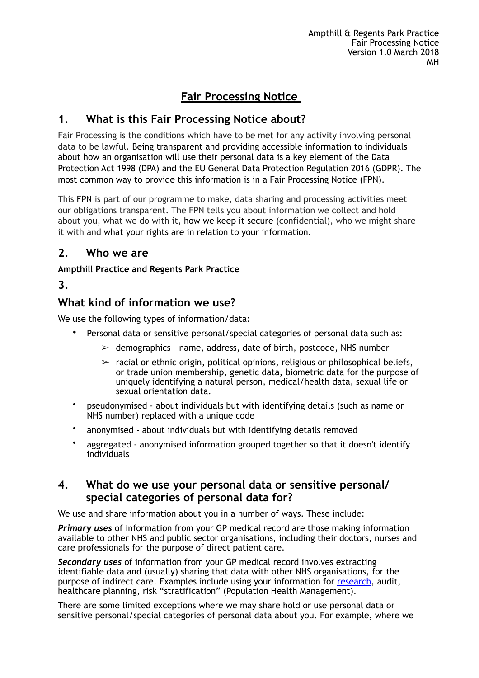# **Fair Processing Notice**

# **1. What is this Fair Processing Notice about?**

Fair Processing is the conditions which have to be met for any activity involving personal data to be lawful. Being transparent and providing accessible information to individuals about how an organisation will use their personal data is a key element of the Data Protection Act 1998 (DPA) and the EU General Data Protection Regulation 2016 (GDPR). The most common way to provide this information is in a Fair Processing Notice (FPN).

This FPN is part of our programme to make, data sharing and processing activities meet our obligations transparent. The FPN tells you about information we collect and hold about you, what we do with it, how we keep it secure (confidential), who we might share it with and what your rights are in relation to your information.

# **2. Who we are**

## **Ampthill Practice and Regents Park Practice**

# **3.**

# **What kind of information we use?**

We use the following types of information/data:

- Personal data or sensitive personal/special categories of personal data such as:
	- $\ge$  demographics name, address, date of birth, postcode, NHS number
	- $\triangleright$  racial or ethnic origin, political opinions, religious or philosophical beliefs, or trade union membership, genetic data, biometric data for the purpose of uniquely identifying a natural person, medical/health data, sexual life or sexual orientation data.
- pseudonymised about individuals but with identifying details (such as name or NHS number) replaced with a unique code
- anonymised about individuals but with identifying details removed
- aggregated anonymised information grouped together so that it doesn't identify individuals

# **4. What do we use your personal data or sensitive personal/ special categories of personal data for?**

We use and share information about you in a number of ways. These include:

*Primary uses* of information from your GP medical record are those making information available to other NHS and public sector organisations, including their doctors, nurses and care professionals for the purpose of direct patient care.

*Secondary uses* of information from your GP medical record involves extracting identifiable data and (usually) sharing that data with other NHS organisations, for the purpose of indirect care. Examples include using your information for [research](https://www.hra.nhs.uk/planning-and-improving-research/policies-standards-legislation/data-protection-and-information-governance/), audit, healthcare planning, risk "stratification" (Population Health Management).

There are some limited exceptions where we may share hold or use personal data or sensitive personal/special categories of personal data about you. For example, where we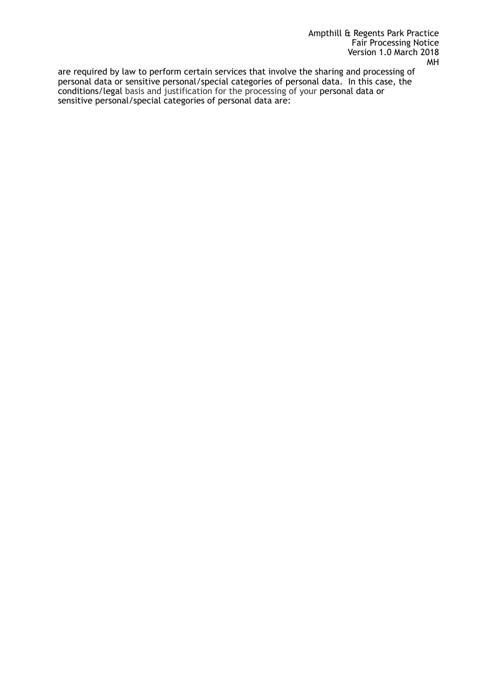are required by law to perform certain services that involve the sharing and processing of personal data or sensitive personal/special categories of personal data. In this case, the conditions/legal basis and justification for the processing of your personal data or sensitive personal/special categories of personal data are: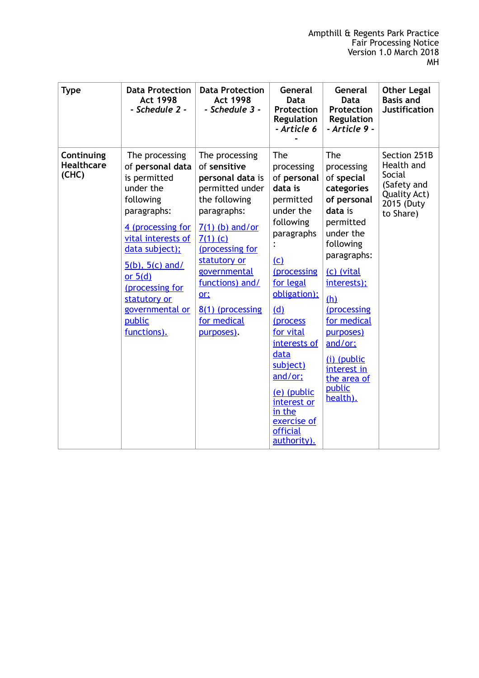| <b>Type</b>                              | <b>Data Protection</b><br><b>Act 1998</b><br>- Schedule 2 -                                                                                                                                                                                                                  | <b>Data Protection</b><br><b>Act 1998</b><br>- Schedule 3 -                                                                                                                                                                                                               | General<br><b>Data</b><br>Protection<br>Regulation<br>- Article 6                                                                                                                                                                                                                                                    | General<br>Data<br>Protection<br><b>Regulation</b><br>- Article 9 -                                                                                                                                                                                                                        | <b>Other Legal</b><br><b>Basis and</b><br><b>Justification</b>                                        |
|------------------------------------------|------------------------------------------------------------------------------------------------------------------------------------------------------------------------------------------------------------------------------------------------------------------------------|---------------------------------------------------------------------------------------------------------------------------------------------------------------------------------------------------------------------------------------------------------------------------|----------------------------------------------------------------------------------------------------------------------------------------------------------------------------------------------------------------------------------------------------------------------------------------------------------------------|--------------------------------------------------------------------------------------------------------------------------------------------------------------------------------------------------------------------------------------------------------------------------------------------|-------------------------------------------------------------------------------------------------------|
| Continuing<br><b>Healthcare</b><br>(CHC) | The processing<br>of personal data<br>is permitted<br>under the<br>following<br>paragraphs:<br>4 (processing for<br>vital interests of<br>data subject);<br>$5(b)$ , $5(c)$ and/<br>or $5(d)$<br>(processing for<br>statutory or<br>governmental or<br>public<br>functions). | The processing<br>of sensitive<br>personal data is<br>permitted under<br>the following<br>paragraphs:<br>$7(1)$ (b) and/or<br>$7(1)$ (c)<br>(processing for<br>statutory or<br>governmental<br>functions) and/<br>$or$ :<br>8(1) (processing<br>for medical<br>purposes). | The<br>processing<br>of personal<br>data is<br>permitted<br>under the<br>following<br>paragraphs<br>(c)<br>(processing<br>for legal<br>obligation);<br>(d)<br>(process<br>for vital<br>interests of<br>data<br>subject)<br>and/or;<br>(e) (public<br>interest or<br>in the<br>exercise of<br>official<br>authority). | The<br>processing<br>of special<br>categories<br>of personal<br>data is<br>permitted<br>under the<br>following<br>paragraphs:<br>(c) (vital<br>interests);<br>(h)<br>(processing<br>for medical<br>purposes)<br>and/or;<br>(i) (public<br>interest in<br>the area of<br>public<br>health). | Section 251B<br>Health and<br><b>Social</b><br>(Safety and<br>Quality Act)<br>2015 (Duty<br>to Share) |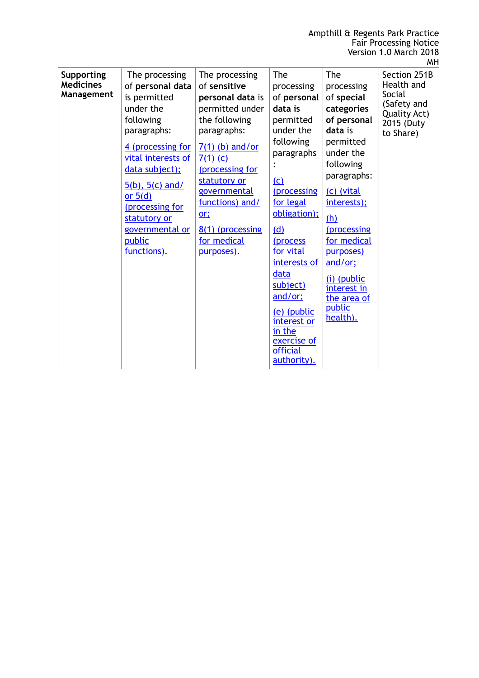|                                                     |                                                                                                                                                                                                                                                                              |                                                                                                                                                                                                                                                                        |                                                                                                                                                                                                                                                                                                                                     |                                                                                                                                                                                                                                                                                            | <b>MH</b>                                                                                      |
|-----------------------------------------------------|------------------------------------------------------------------------------------------------------------------------------------------------------------------------------------------------------------------------------------------------------------------------------|------------------------------------------------------------------------------------------------------------------------------------------------------------------------------------------------------------------------------------------------------------------------|-------------------------------------------------------------------------------------------------------------------------------------------------------------------------------------------------------------------------------------------------------------------------------------------------------------------------------------|--------------------------------------------------------------------------------------------------------------------------------------------------------------------------------------------------------------------------------------------------------------------------------------------|------------------------------------------------------------------------------------------------|
| <b>Supporting</b><br><b>Medicines</b><br>Management | The processing<br>of personal data<br>is permitted<br>under the<br>following<br>paragraphs:<br>4 (processing for<br>vital interests of<br>data subject);<br>$5(b)$ , $5(c)$ and/<br>or $5(d)$<br>(processing for<br>statutory or<br>governmental or<br>public<br>functions). | The processing<br>of sensitive<br>personal data is<br>permitted under<br>the following<br>paragraphs:<br>$7(1)$ (b) and/or<br>$7(1)$ (c)<br>(processing for<br>statutory or<br>governmental<br>functions) and/<br>or:<br>8(1) (processing<br>for medical<br>purposes). | The<br>processing<br>of personal<br>data is<br>permitted<br>under the<br>following<br>paragraphs<br>(c)<br><i>(processing)</i><br>for legal<br>obligation);<br><u>(d)</u><br>(process<br>for vital<br>interests of<br>data<br>subject)<br>and/or;<br>(e) (public<br>interest or<br>in the<br>exercise of<br>official<br>authority). | The<br>processing<br>of special<br>categories<br>of personal<br>data is<br>permitted<br>under the<br>following<br>paragraphs:<br>(c) (vital<br>interests);<br>(h)<br>(processing<br>for medical<br>purposes)<br>and/or;<br>(i) (public<br>interest in<br>the area of<br>public<br>health). | Section 251B<br>Health and<br>Social<br>(Safety and<br>Quality Act)<br>2015 (Duty<br>to Share) |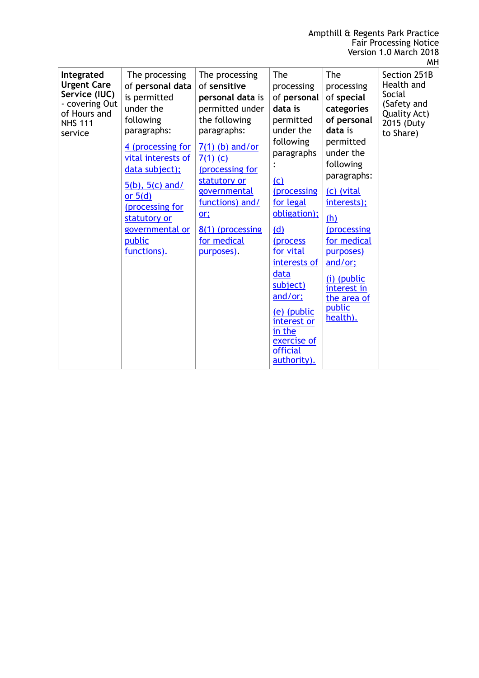|                                                                                                                  |                                                                                                                                                                               |                                                                                                                                                               |                                                                                                                                                           |                                                                                                                                                                                           | <b>MH</b> |
|------------------------------------------------------------------------------------------------------------------|-------------------------------------------------------------------------------------------------------------------------------------------------------------------------------|---------------------------------------------------------------------------------------------------------------------------------------------------------------|-----------------------------------------------------------------------------------------------------------------------------------------------------------|-------------------------------------------------------------------------------------------------------------------------------------------------------------------------------------------|-----------|
| Integrated<br><b>Urgent Care</b><br>Service (IUC)<br>- covering Out<br>of Hours and<br><b>NHS 111</b><br>service | The processing<br>of personal data<br>is permitted<br>under the<br>following<br>paragraphs:                                                                                   | The processing<br>of sensitive<br>personal data is<br>permitted under<br>the following<br>paragraphs:                                                         | The<br>The<br>processing<br>processing<br>of personal<br>of special<br>data is<br>categories<br>of personal<br>permitted<br>under the<br>data is          | Section 251B<br>Health and<br>Social<br>(Safety and<br>Quality Act)<br>2015 (Duty                                                                                                         |           |
|                                                                                                                  | 4 (processing for<br>vital interests of<br>data subject);<br>$5(b)$ , $5(c)$ and/<br>or $5(d)$<br>(processing for<br>statutory or<br>governmental or<br>public<br>functions). | $7(1)$ (b) and/or<br>$7(1)$ (c)<br>(processing for<br>statutory or<br>governmental<br>functions) and/<br>or:<br>8(1) (processing<br>for medical<br>purposes). | following<br>paragraphs<br>(c)<br>(processing<br>for legal<br>obligation);<br>(d)<br>(process<br>for vital<br>interests of<br>data<br>subject)<br>and/or; | permitted<br>under the<br>following<br>paragraphs:<br>(c) (vital<br>interests);<br>(h)<br>(processing<br>for medical<br>purposes)<br>and/or;<br>(i) (public<br>interest in<br>the area of | to Share) |
|                                                                                                                  |                                                                                                                                                                               |                                                                                                                                                               | (e) (public<br>interest or<br>in the<br>exercise of<br>official<br>authority).                                                                            | public<br>health).                                                                                                                                                                        |           |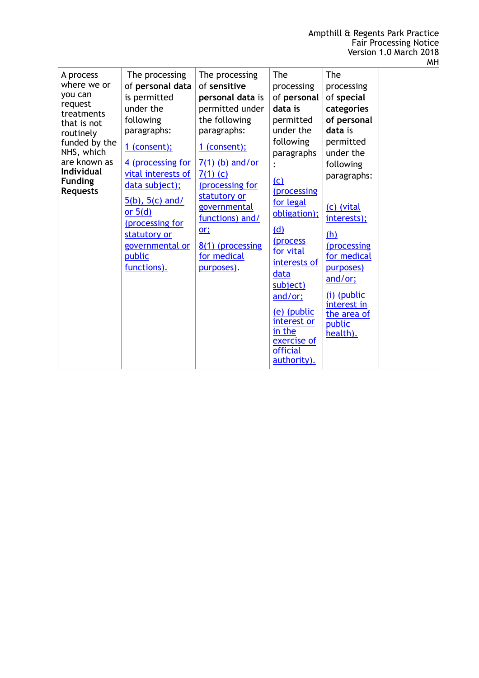| A process<br>where we or<br>you can<br>request<br>treatments<br>that is not<br>routinely<br>funded by the<br>NHS, which<br>are known as<br><b>Individual</b><br><b>Funding</b><br><b>Requests</b> | The processing<br>of personal data<br>is permitted<br>under the<br>following<br>paragraphs:<br>$1$ (consent);<br>4 (processing for<br>vital interests of<br>data subject);<br>$5(b)$ , $5(c)$ and/<br>or $5(d)$<br>(processing for<br>statutory or<br>governmental or<br>public<br>functions). | The processing<br>of sensitive<br>personal data is<br>permitted under<br>the following<br>paragraphs:<br>1 (consent);<br>$7(1)$ (b) and/or<br>$7(1)$ (c)<br>(processing for<br>statutory or<br>governmental<br>functions) and/<br>or;<br>8(1) (processing<br>for medical<br>purposes). | <b>The</b><br>processing<br>of personal<br>data is<br>permitted<br>under the<br>following<br>paragraphs<br>(c)<br><i>(processing</i><br>for legal<br>obligation);<br>(d)<br>(process<br>for vital<br>interests of<br>data<br>subject)<br>and/or;<br>(e) (public<br>interest or<br>in the<br>exercise of<br><b>official</b><br>authority). | The<br>processing<br>of special<br>categories<br>of personal<br>data is<br>permitted<br>under the<br>following<br>paragraphs:<br>(c) (vital<br>interests);<br><u>(h)</u><br>(processing<br>for medical<br>purposes)<br>and/or;<br>$(i)$ (public<br>interest in<br>the area of<br>public<br>health). |  |
|---------------------------------------------------------------------------------------------------------------------------------------------------------------------------------------------------|------------------------------------------------------------------------------------------------------------------------------------------------------------------------------------------------------------------------------------------------------------------------------------------------|----------------------------------------------------------------------------------------------------------------------------------------------------------------------------------------------------------------------------------------------------------------------------------------|-------------------------------------------------------------------------------------------------------------------------------------------------------------------------------------------------------------------------------------------------------------------------------------------------------------------------------------------|-----------------------------------------------------------------------------------------------------------------------------------------------------------------------------------------------------------------------------------------------------------------------------------------------------|--|

MH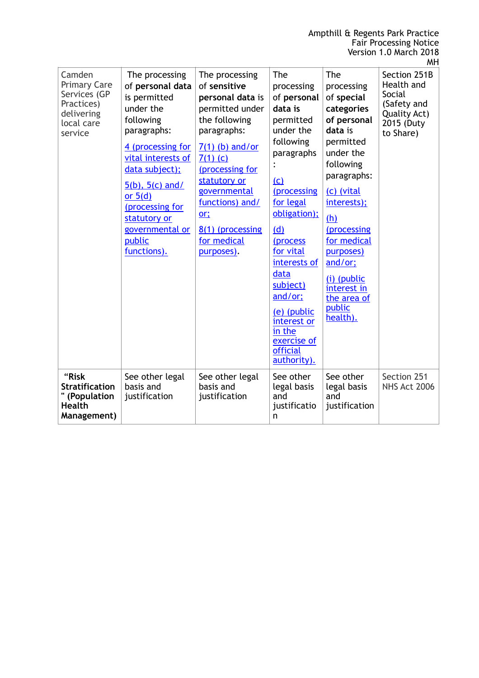|                                                                                                    |                                                                                                                                                                                                                                                                              |                                                                                                                                                                                                                                                                        |                                                                                                                                                                                                                                                                                                                                               |                                                                                                                                                                                                                                                                                            | <b>MH</b>                                                                                                    |
|----------------------------------------------------------------------------------------------------|------------------------------------------------------------------------------------------------------------------------------------------------------------------------------------------------------------------------------------------------------------------------------|------------------------------------------------------------------------------------------------------------------------------------------------------------------------------------------------------------------------------------------------------------------------|-----------------------------------------------------------------------------------------------------------------------------------------------------------------------------------------------------------------------------------------------------------------------------------------------------------------------------------------------|--------------------------------------------------------------------------------------------------------------------------------------------------------------------------------------------------------------------------------------------------------------------------------------------|--------------------------------------------------------------------------------------------------------------|
| Camden<br><b>Primary Care</b><br>Services (GP<br>Practices)<br>delivering<br>local care<br>service | The processing<br>of personal data<br>is permitted<br>under the<br>following<br>paragraphs:<br>4 (processing for<br>vital interests of<br>data subject);<br>$5(b)$ , $5(c)$ and/<br>or $5(d)$<br>(processing for<br>statutory or<br>governmental or<br>public<br>functions). | The processing<br>of sensitive<br>personal data is<br>permitted under<br>the following<br>paragraphs:<br>$7(1)$ (b) and/or<br>$7(1)$ (c)<br>(processing for<br>statutory or<br>governmental<br>functions) and/<br>or:<br>8(1) (processing<br>for medical<br>purposes). | The<br>processing<br>of personal<br>data is<br>permitted<br>under the<br>following<br>paragraphs<br>$\ddot{\cdot}$<br>(c)<br><i>(processing</i><br>for legal<br>obligation);<br>(d)<br>(process<br>for vital<br>interests of<br>data<br>subject)<br>and/or:<br>(e) (public<br>interest or<br>in the<br>exercise of<br>official<br>authority). | The<br>processing<br>of special<br>categories<br>of personal<br>data is<br>permitted<br>under the<br>following<br>paragraphs:<br>(c) (vital<br>interests);<br>(h)<br>(processing<br>for medical<br>purposes)<br>and/or;<br>(i) (public<br>interest in<br>the area of<br>public<br>health). | Section 251B<br>Health and<br><b>Social</b><br>(Safety and<br><b>Quality Act)</b><br>2015 (Duty<br>to Share) |
| "Risk<br><b>Stratification</b><br>" (Population<br><b>Health</b><br>Management)                    | See other legal<br>basis and<br>justification                                                                                                                                                                                                                                | See other legal<br>basis and<br>justification                                                                                                                                                                                                                          | See other<br>legal basis<br>and<br>justificatio<br>n                                                                                                                                                                                                                                                                                          | See other<br>legal basis<br>and<br>justification                                                                                                                                                                                                                                           | Section 251<br><b>NHS Act 2006</b>                                                                           |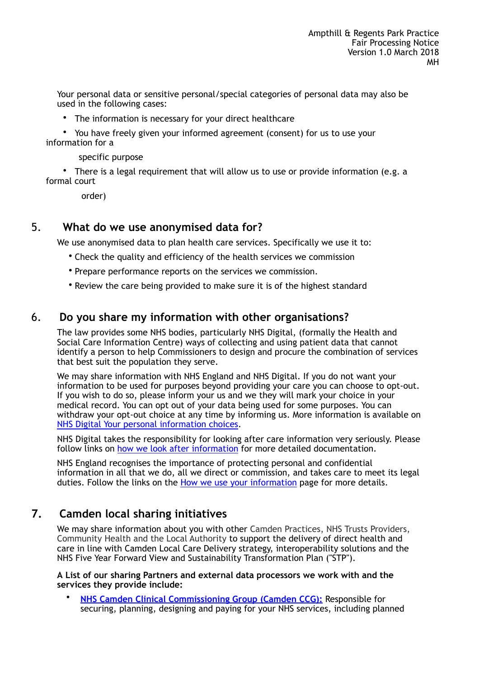Your personal data or sensitive personal/special categories of personal data may also be used in the following cases:

- The information is necessary for your direct healthcare
- You have freely given your informed agreement (consent) for us to use your information for a
	- specific purpose
- There is a legal requirement that will allow us to use or provide information (e.g. a formal court

order)

## 5. **What do we use anonymised data for?**

We use anonymised data to plan health care services. Specifically we use it to:

- Check the quality and efficiency of the health services we commission
- Prepare performance reports on the services we commission.
- Review the care being provided to make sure it is of the highest standard

# 6. **Do you share my information with other organisations?**

The law provides some NHS bodies, particularly NHS Digital, (formally the Health and Social Care Information Centre) ways of collecting and using patient data that cannot identify a person to help Commissioners to design and procure the combination of services that best suit the population they serve.

We may share information with NHS England and NHS Digital. If you do not want your information to be used for purposes beyond providing your care you can choose to opt-out. If you wish to do so, please inform your us and we they will mark your choice in your medical record. You can opt out of your data being used for some purposes. You can withdraw your opt-out choice at any time by informing us. More information is available on [NHS Digital Your personal information choices.](http://www.hscic.gov.uk/yourinfo)

NHS Digital takes the responsibility for looking after care information very seriously. Please follow links on [how we look after information](http://content.digital.nhs.uk/patientconf) for more detailed documentation.

NHS England recognises the importance of protecting personal and confidential information in all that we do, all we direct or commission, and takes care to meet its legal duties. Follow the links on the [How we use your information](https://www.england.nhs.uk/contact-us/privacy-notice/) page for more details.

# **7. Camden local sharing initiatives**

We may share information about you with other Camden Practices, NHS Trusts Providers, Community Health and the Local Authority to support the delivery of direct health and care in line with Camden Local Care Delivery strategy, interoperability solutions and the NHS Five Year Forward View and Sustainability Transformation Plan ("STP").

**A List of our sharing Partners and external data processors we work with and the services they provide include:** 

• **[NHS Camden Clinical Commissioning Group \(Camden CCG\):](http://www.camdenccg.nhs.uk/)** Responsible for securing, planning, designing and paying for your NHS services, including planned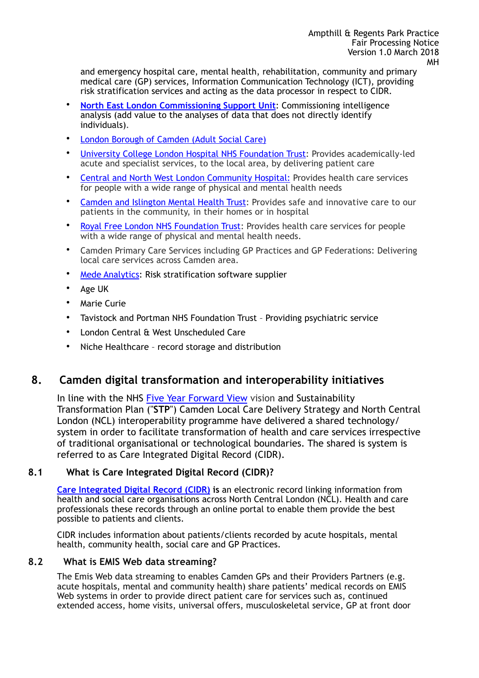and emergency hospital care, mental health, rehabilitation, community and primary medical care (GP) services, Information Communication Technology (ICT), providing risk stratification services and acting as the data processor in respect to CIDR.

- **[North East London Commissioning Support Unit](http://www.nelcsu.nhs.uk/)**: Commissioning intelligence analysis (add value to the analyses of data that does not directly identify individuals).
- [London Borough of Camden \(Adult Social Care\)](https://www.camden.gov.uk/ccm/navigation/%3Bjsessionid=13DADC596E5D6D8C181B174F1F1A3E6D)
- [University College London Hospital NHS Foundation Trust](https://www.uclh.nhs.uk/Pages/Home.aspx): Provides academically-led acute and specialist services, to the local area, by delivering patient care
- [Central and North West London Community Hospital:](https://www.cnwl.nhs.uk/services/) Provides health care services for people with a wide range of physical and mental health needs
- [Camden and Islington Mental Health Trust:](http://www.candi.nhs.uk/about-us) Provides safe and innovative care to our patients in the community, in their homes or in hospital
- [Royal Free London NHS Foundation Trust](https://www.royalfree.nhs.uk/): Provides health care services for people with a wide range of physical and mental health needs.
- Camden Primary Care Services including GP Practices and GP Federations: Delivering local care services across Camden area.
- Mede **Analytics:** Risk stratification software supplier
- Age UK
- **Marie Curie**
- Tavistock and Portman NHS Foundation Trust Providing psychiatric service
- London Central & West Unscheduled Care
- Niche Healthcare record storage and distribution

## **8. Camden digital transformation and interoperability initiatives**

In line with the NHS [Five Year Forward View](http://www.england.nhs.uk/ourwork/futurenhs/) vision and Sustainability Transformation Plan ("**STP**") Camden Local Care Delivery Strategy and North Central London (NCL) interoperability programme have delivered a shared technology/ system in order to facilitate transformation of health and care services irrespective of traditional organisational or technological boundaries. The shared is system is referred to as Care Integrated Digital Record (CIDR).

### **8.1 What is Care Integrated Digital Record (CIDR)?**

**[Care Integrated Digital Record \(CIDR\)](http://cidrprortal.nhs.uk/) is** an electronic record linking information from health and social care organisations across North Central London (NCL). Health and care professionals these records through an online portal to enable them provide the best possible to patients and clients.

CIDR includes information about patients/clients recorded by acute hospitals, mental health, community health, social care and GP Practices.

#### **8.2 What is EMIS Web data streaming?**

The Emis Web data streaming to enables Camden GPs and their Providers Partners (e.g. acute hospitals, mental and community health) share patients' medical records on EMIS Web systems in order to provide direct patient care for services such as, continued extended access, home visits, universal offers, musculoskeletal service, GP at front door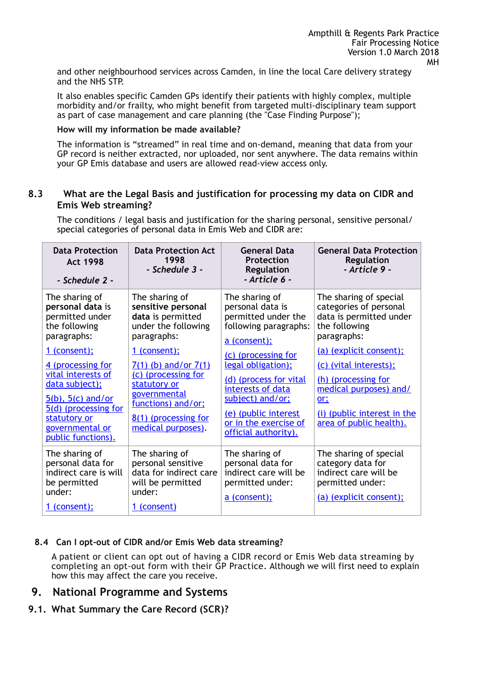and other neighbourhood services across Camden, in line the local Care delivery strategy and the NHS STP.

It also enables specific Camden GPs identify their patients with highly complex, multiple morbidity and/or frailty, who might benefit from targeted multi-disciplinary team support as part of case management and care planning (the "Case Finding Purpose");

#### **How will my information be made available?**

The information is "streamed" in real time and on-demand, meaning that data from your GP record is neither extracted, nor uploaded, nor sent anywhere. The data remains within your GP Emis database and users are allowed read-view access only.

#### **8.3 What are the Legal Basis and justification for processing my data on CIDR and Emis Web streaming?**

The conditions / legal basis and justification for the sharing personal, sensitive personal/ special categories of personal data in Emis Web and CIDR are:

| <b>Data Protection</b><br><b>Act 1998</b><br>- Schedule 2 -                            | <b>Data Protection Act</b><br>1998<br>- Schedule 3 -                                            | <b>General Data</b><br>Protection<br>Regulation<br>- Article 6 -                                   | <b>General Data Protection</b><br><b>Regulation</b><br>- Article 9 -                                        |
|----------------------------------------------------------------------------------------|-------------------------------------------------------------------------------------------------|----------------------------------------------------------------------------------------------------|-------------------------------------------------------------------------------------------------------------|
|                                                                                        |                                                                                                 |                                                                                                    |                                                                                                             |
| The sharing of<br>personal data is<br>permitted under<br>the following<br>paragraphs:  | The sharing of<br>sensitive personal<br>data is permitted<br>under the following<br>paragraphs: | The sharing of<br>personal data is<br>permitted under the<br>following paragraphs:<br>a (consent); | The sharing of special<br>categories of personal<br>data is permitted under<br>the following<br>paragraphs: |
| 1 (consent);                                                                           | 1 (consent);                                                                                    | (c) (processing for                                                                                | (a) (explicit consent);                                                                                     |
| 4 (processing for                                                                      | 7(1) (b) and/or 7(1)                                                                            | legal obligation);                                                                                 | (c) (vital interests);                                                                                      |
| vital interests of<br>data subject);<br>$5(b)$ , $5(c)$ and/or                         | (c) (processing for<br>statutory or<br>governmental<br>functions) and/or;                       | (d) (process for vital<br>interests of data<br>subject) and/or;                                    | (h) (processing for<br>medical purposes) and/<br>or;                                                        |
| 5(d) (processing for<br>statutory or<br>governmental or<br>public functions).          | 8(1) (processing for<br>medical purposes).                                                      | (e) (public interest<br>or in the exercise of<br>official authority).                              | (i) (public interest in the<br>area of public health).                                                      |
| The sharing of<br>personal data for<br>indirect care is will<br>be permitted<br>under: | The sharing of<br>personal sensitive<br>data for indirect care<br>will be permitted<br>under:   | The sharing of<br>personal data for<br>indirect care will be<br>permitted under:                   | The sharing of special<br>category data for<br>indirect care will be<br>permitted under:                    |
| 1 (consent);                                                                           | 1 (consent)                                                                                     | a (consent);                                                                                       | (a) (explicit consent);                                                                                     |

### **8.4 Can I opt-out of CIDR and/or Emis Web data streaming?**

A patient or client can opt out of having a CIDR record or Emis Web data streaming by completing an opt-out form with their GP Practice. Although we will first need to explain how this may affect the care you receive.

### **9. National Programme and Systems**

**9.1. What Summary the Care Record (SCR)?**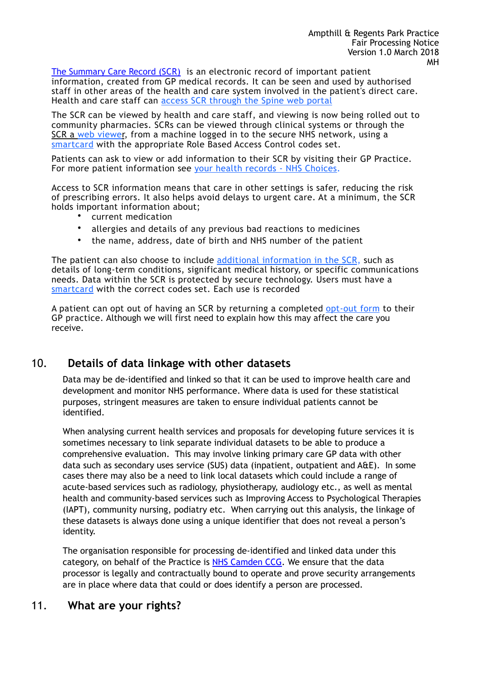[The Summary Care Record \(SCR\)](https://digital.nhs.uk/summary-care-records) is an electronic record of important patient information, created from GP medical records. It can be seen and used by authorised staff in other areas of the health and care system involved in the patient's direct care. Health and care staff can [access SCR through the Spine web portal](https://portal.national.ncrs.nhs.uk/portal/)

The SCR can be viewed by health and care staff, and viewing is now being rolled out to community pharmacies. SCRs can be viewed through clinical systems or through the [SCR a web viewer,](https://portal.national.ncrs.nhs.uk/portal/) from a machine logged in to the secure NHS network, using a [smartcard](https://digital.nhs.uk/Registration-Authorities-and-Smartcards) with the appropriate Role Based Access Control codes set.

Patients can ask to view or add information to their SCR by visiting their GP Practice. For more patient information see [your health records - NHS Choices](http://www.nhs.uk/NHSEngland/thenhs/records/healthrecords/Pages/overview.aspx).

Access to SCR information means that care in other settings is safer, reducing the risk of prescribing errors. It also helps avoid delays to urgent care. At a minimum, the SCR holds important information about;

- current medication
- allergies and details of any previous bad reactions to medicines
- the name, address, date of birth and NHS number of the patient

The patient can also choose to include [additional information in the SCR,](https://digital.nhs.uk/summary-care-records/additional-information) such as details of long-term conditions, significant medical history, or specific communications needs. Data within the SCR is protected by secure technology. Users must have a [smartcard](https://digital.nhs.uk/Registration-Authorities-and-Smartcards) with the correct codes set. Each use is recorded

A patient can opt out of having an SCR by returning a completed [opt-out form](http://webarchive.nationalarchives.gov.uk/20160921135209/http:/systems.digital.nhs.uk/scr/library/optout.pdf) to their GP practice. Although we will first need to explain how this may affect the care you receive.

# 10. **Details of data linkage with other datasets**

Data may be de-identified and linked so that it can be used to improve health care and development and monitor NHS performance. Where data is used for these statistical purposes, stringent measures are taken to ensure individual patients cannot be identified.

When analysing current health services and proposals for developing future services it is sometimes necessary to link separate individual datasets to be able to produce a comprehensive evaluation. This may involve linking primary care GP data with other data such as secondary uses service (SUS) data (inpatient, outpatient and A&E). In some cases there may also be a need to link local datasets which could include a range of acute-based services such as radiology, physiotherapy, audiology etc., as well as mental health and community-based services such as Improving Access to Psychological Therapies (IAPT), community nursing, podiatry etc. When carrying out this analysis, the linkage of these datasets is always done using a unique identifier that does not reveal a person's identity.

The organisation responsible for processing de-identified and linked data under this category, on behalf of the Practice is [NHS Camden CCG](http://www.camdenccg.nhs.uk/). We ensure that the data processor is legally and contractually bound to operate and prove security arrangements are in place where data that could or does identify a person are processed.

## 11. **What are your rights?**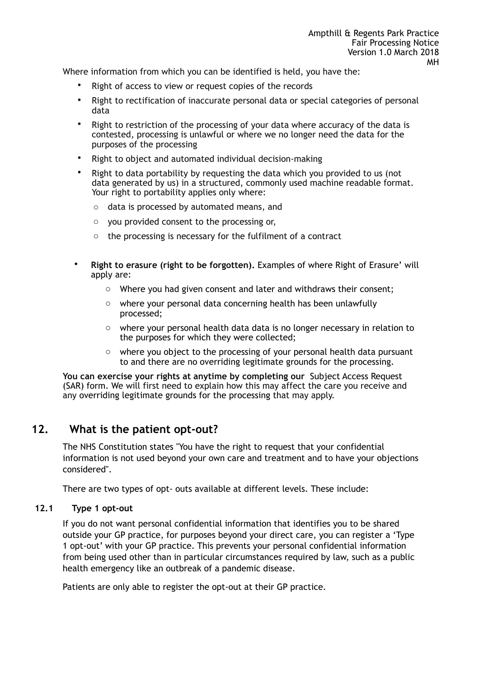Where information from which you can be identified is held, you have the:

- Right of access to view or request copies of the records
- Right to rectification of inaccurate personal data or special categories of personal data
- Right to restriction of the processing of your data where accuracy of the data is contested, processing is unlawful or where we no longer need the data for the purposes of the processing
- Right to object and automated individual decision-making
- Right to data portability by requesting the data which you provided to us (not data generated by us) in a structured, commonly used machine readable format. Your right to portability applies only where:
	- o data is processed by automated means, and
	- o you provided consent to the processing or,
	- o the processing is necessary for the fulfilment of a contract
- **Right to erasure (right to be forgotten).** Examples of where Right of Erasure' will apply are:
	- o Where you had given consent and later and withdraws their consent;
	- o where your personal data concerning health has been unlawfully processed;
	- $\circ$  where your personal health data data is no longer necessary in relation to the purposes for which they were collected;
	- $\circ$  where you object to the processing of your personal health data pursuant to and there are no overriding legitimate grounds for the processing.

**You can exercise your rights at anytime by completing our** Subject Access Request (SAR) form. We will first need to explain how this may affect the care you receive and any overriding legitimate grounds for the processing that may apply.

## **12. What is the patient opt-out?**

The NHS Constitution states "You have the right to request that your confidential information is not used beyond your own care and treatment and to have your objections considered".

There are two types of opt- outs available at different levels. These include:

#### **12.1 Type 1 opt-out**

If you do not want personal confidential information that identifies you to be shared outside your GP practice, for purposes beyond your direct care, you can register a 'Type 1 opt-out' with your GP practice. This prevents your personal confidential information from being used other than in particular circumstances required by law, such as a public health emergency like an outbreak of a pandemic disease.

Patients are only able to register the opt-out at their GP practice.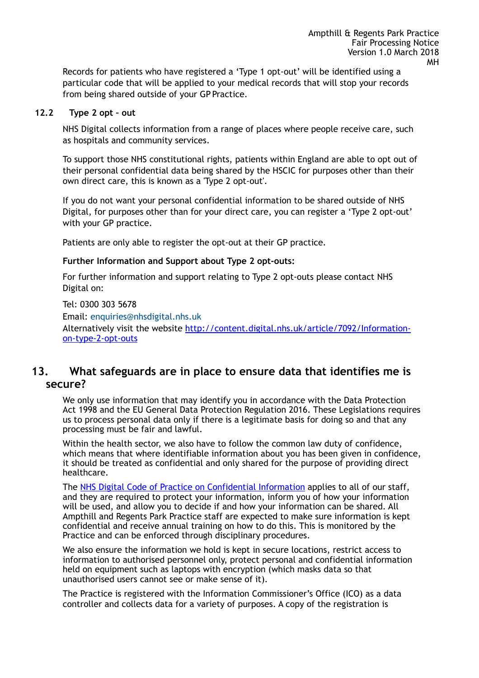Records for patients who have registered a 'Type 1 opt-out' will be identified using a particular code that will be applied to your medical records that will stop your records from being shared outside of your GP Practice.

#### **12.2 Type 2 opt – out**

NHS Digital collects information from a range of places where people receive care, such as hospitals and community services.

To support those NHS constitutional rights, patients within England are able to opt out of their personal confidential data being shared by the HSCIC for purposes other than their own direct care, this is known as a 'Type 2 opt-out'.

If you do not want your personal confidential information to be shared outside of NHS Digital, for purposes other than for your direct care, you can register a 'Type 2 opt-out' with your GP practice.

Patients are only able to register the opt-out at their GP practice.

#### **Further Information and Support about Type 2 opt-outs:**

For further information and support relating to Type 2 opt-outs please contact NHS Digital on:

Tel: 0300 303 5678 Email: [enquiries@nhsdigital.nhs.uk](mailto:enquiries@nhsdigital.nhs.uk) Alternatively visit the website [http://content.digital.nhs.uk/article/7092/Information](http://content.digital.nhs.uk/article/7092/Information-on-type-2-opt-outs)[on-type-2-opt-outs](http://content.digital.nhs.uk/article/7092/Information-on-type-2-opt-outs)

# **13. What safeguards are in place to ensure data that identifies me is secure?**

We only use information that may identify you in accordance with the Data Protection Act 1998 and the EU General Data Protection Regulation 2016. These Legislations requires us to process personal data only if there is a legitimate basis for doing so and that any processing must be fair and lawful.

Within the health sector, we also have to follow the common law duty of confidence, which means that where identifiable information about you has been given in confidence, it should be treated as confidential and only shared for the purpose of providing direct healthcare.

The [NHS Digital Code of Practice on Confidential Information](http://systems.digital.nhs.uk/infogov/codes) applies to all of our staff, and they are required to protect your information, inform you of how your information will be used, and allow you to decide if and how your information can be shared. All Ampthill and Regents Park Practice staff are expected to make sure information is kept confidential and receive annual training on how to do this. This is monitored by the Practice and can be enforced through disciplinary procedures.

We also ensure the information we hold is kept in secure locations, restrict access to information to authorised personnel only, protect personal and confidential information held on equipment such as laptops with encryption (which masks data so that unauthorised users cannot see or make sense of it).

The Practice is registered with the Information Commissioner's Office (ICO) as a data controller and collects data for a variety of purposes. A copy of the registration is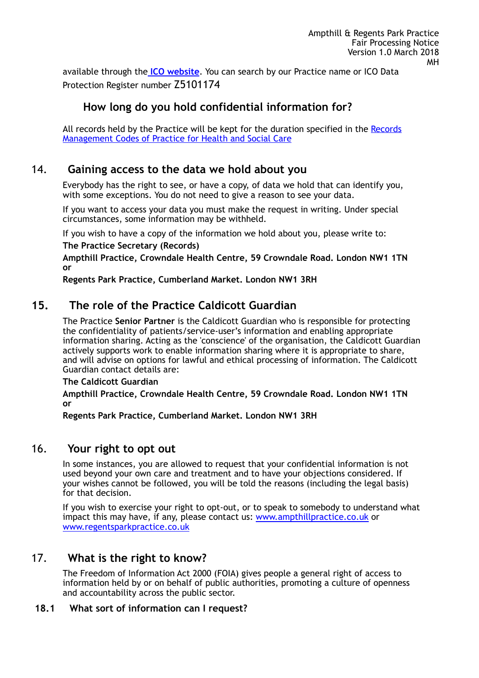available through the **[ICO website](https://ico.org.uk/esdwebpages/search)**. You can search by our Practice name or ICO Data Protection Register number Z5101174

# **How long do you hold confidential information for?**

All records held by the Practice will be kept for the duration specified in the Records [Management Codes of Practice for Health and Social Care](https://www.gov.uk/government/publications/records-management-code-of-practice-for-health-and-social-care)

# 14. **Gaining access to the data we hold about you**

Everybody has the right to see, or have a copy, of data we hold that can identify you, with some exceptions. You do not need to give a reason to see your data.

If you want to access your data you must make the request in writing. Under special circumstances, some information may be withheld.

If you wish to have a copy of the information we hold about you, please write to:

**The Practice Secretary (Records)** 

**Ampthill Practice, Crowndale Health Centre, 59 Crowndale Road. London NW1 1TN or** 

**Regents Park Practice, Cumberland Market. London NW1 3RH** 

## **15. The role of the Practice Caldicott Guardian**

The Practice **Senior Partner** is the Caldicott Guardian who is responsible for protecting the confidentiality of patients/service-user's information and enabling appropriate information sharing. Acting as the 'conscience' of the organisation, the Caldicott Guardian actively supports work to enable information sharing where it is appropriate to share, and will advise on options for lawful and ethical processing of information. The Caldicott Guardian contact details are:

**The Caldicott Guardian** 

**Ampthill Practice, Crowndale Health Centre, 59 Crowndale Road. London NW1 1TN or** 

**Regents Park Practice, Cumberland Market. London NW1 3RH** 

### 16. **Your right to opt out**

In some instances, you are allowed to request that your confidential information is not used beyond your own care and treatment and to have your objections considered. If your wishes cannot be followed, you will be told the reasons (including the legal basis) for that decision.

If you wish to exercise your right to opt-out, or to speak to somebody to understand what impact this may have, if any, please contact us: [www.ampthillpractice.co.uk](http://www.ampthillpractice.co.uk) or [www.regentsparkpractice.co.uk](http://www.regentsparkpractice.co.uk)

## 17. **What is the right to know?**

The Freedom of Information Act 2000 (FOIA) gives people a general right of access to information held by or on behalf of public authorities, promoting a culture of openness and accountability across the public sector.

#### **18.1 What sort of information can I request?**